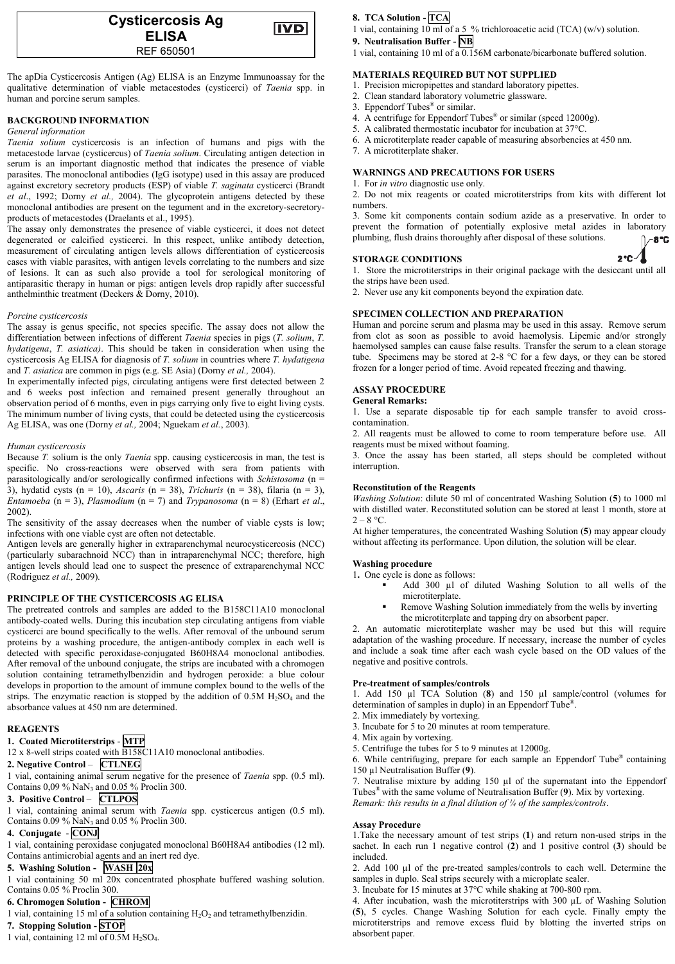| <b>Cysticercosis Ag</b><br><b>ELISA</b> | IVD |
|-----------------------------------------|-----|
| REF 650501                              |     |

The apDia Cysticercosis Antigen (Ag) ELISA is an Enzyme Immunoassay for the qualitative determination of viable metacestodes (cysticerci) of *Taenia* spp. in human and porcine serum samples.

### **BACKGROUND INFORMATION**

#### *General information*

*Taenia solium* cysticercosis is an infection of humans and pigs with the metacestode larvae (cysticercus) of *Taenia solium*. Circulating antigen detection in serum is an important diagnostic method that indicates the presence of viable parasites. The monoclonal antibodies (IgG isotype) used in this assay are produced against excretory secretory products (ESP) of viable *T. saginata* cysticerci (Brandt *et al*., 1992; Dorny *et al.,* 2004). The glycoprotein antigens detected by these monoclonal antibodies are present on the tegument and in the excretory-secretoryproducts of metacestodes (Draelants et al., 1995).

The assay only demonstrates the presence of viable cysticerci, it does not detect degenerated or calcified cysticerci. In this respect, unlike antibody detection, measurement of circulating antigen levels allows differentiation of cysticercosis cases with viable parasites, with antigen levels correlating to the numbers and size of lesions. It can as such also provide a tool for serological monitoring of antiparasitic therapy in human or pigs: antigen levels drop rapidly after successful anthelminthic treatment (Deckers & Dorny, 2010).

### *Porcine cysticercosis*

The assay is genus specific, not species specific. The assay does not allow the differentiation between infections of different *Taenia* species in pigs (*T. solium*, *T. hydatigena*, *T. asiatica)*. This should be taken in consideration when using the cysticercosis Ag ELISA for diagnosis of *T. solium* in countries where *T. hydatigena* and *T. asiatica* are common in pigs (e.g. SE Asia) (Dorny *et al.,* 2004).

In experimentally infected pigs, circulating antigens were first detected between 2 and 6 weeks post infection and remained present generally throughout an observation period of 6 months, even in pigs carrying only five to eight living cysts. The minimum number of living cysts, that could be detected using the cysticercosis Ag ELISA, was one (Dorny *et al.,* 2004; Nguekam *et al.*, 2003).

### *Human cysticercosis*

Because *T.* solium is the only *Taenia* spp. causing cysticercosis in man, the test is specific. No cross-reactions were observed with sera from patients with parasitologically and/or serologically confirmed infections with *Schistosoma* (n = 3), hydatid cysts (n = 10), *Ascaris* (n = 38), *Trichuris* (n = 38), filaria (n = 3), *Entamoeba* (n = 3), *Plasmodium* (n = 7) and *Trypanosoma* (n = 8) (Erhart *et al*., 2002).

The sensitivity of the assay decreases when the number of viable cysts is low; infections with one viable cyst are often not detectable.

Antigen levels are generally higher in extraparenchymal neurocysticercosis (NCC) (particularly subarachnoid NCC) than in intraparenchymal NCC; therefore, high antigen levels should lead one to suspect the presence of extraparenchymal NCC (Rodriguez *et al.,* 2009).

### **PRINCIPLE OF THE CYSTICERCOSIS AG ELISA**

The pretreated controls and samples are added to the B158C11A10 monoclonal antibody-coated wells. During this incubation step circulating antigens from viable cysticerci are bound specifically to the wells. After removal of the unbound serum proteins by a washing procedure, the antigen-antibody complex in each well is detected with specific peroxidase-conjugated B60H8A4 monoclonal antibodies. After removal of the unbound conjugate, the strips are incubated with a chromogen solution containing tetramethylbenzidin and hydrogen peroxide: a blue colour develops in proportion to the amount of immune complex bound to the wells of the strips. The enzymatic reaction is stopped by the addition of  $0.5M H<sub>2</sub>SO<sub>4</sub>$  and the absorbance values at 450 nm are determined.

### **REAGENTS**

#### **1. Coated Microtiterstrips** - **MTP**

12 x 8-well strips coated with B158C11A10 monoclonal antibodies.

# **2. Negative Control** – **CTLNEG**

1 vial, containing animal serum negative for the presence of *Taenia* spp. (0.5 ml). Contains 0,09 % NaN<sup>3</sup> and 0.05 % Proclin 300.

### **3. Positive Control** – **CTLPOS**

1 vial, containing animal serum with *Taenia* spp. cysticercus antigen (0.5 ml). Contains 0.09 % NaN<sup>3</sup> and 0.05 % Proclin 300.

### **4. Conjugate** - **CONJ**

1 vial, containing peroxidase conjugated monoclonal B60H8A4 antibodies (12 ml). Contains antimicrobial agents and an inert red dye.

# **5. Washing Solution - WASH 20x**

1 vial containing 50 ml 20x concentrated phosphate buffered washing solution. Contains 0.05 % Proclin 300.

## **6. Chromogen Solution - CHROM**

1 vial, containing 15 ml of a solution containing  $H_2O_2$  and tetramethylbenzidin.

### **7. Stopping Solution - STOP**

1 vial, containing 12 ml of 0.5M H2SO4.

### **8. TCA Solution - TCA**

- 1 vial, containing 10 ml of a 5 % trichloroacetic acid (TCA) (w/v) solution.
- **9. Neutralisation Buffer - NB**

1 vial, containing 10 ml of a 0.156M carbonate/bicarbonate buffered solution.

### **MATERIALS REQUIRED BUT NOT SUPPLIED**

- 1. Precision micropipettes and standard laboratory pipettes.
- 2. Clean standard laboratory volumetric glassware.
- 3. Eppendorf Tubes® or similar.
- 4. A centrifuge for Eppendorf Tubes® or similar (speed 12000g).
- 5. A calibrated thermostatic incubator for incubation at 37°C.
- 6. A microtiterplate reader capable of measuring absorbencies at 450 nm.
- 7. A microtiterplate shaker.

#### **WARNINGS AND PRECAUTIONS FOR USERS**

1. For *in vitro* diagnostic use only.

2. Do not mix reagents or coated microtiterstrips from kits with different lot numbers.

3. Some kit components contain sodium azide as a preservative. In order to prevent the formation of potentially explosive metal azides in laboratory plumbing, flush drains thoroughly after disposal of these solutions. -8°C

### **STORAGE CONDITIONS**

1. Store the microtiterstrips in their original package with the desiccant until all the strips have been used.

2°C-4

2. Never use any kit components beyond the expiration date.

### **SPECIMEN COLLECTION AND PREPARATION**

Human and porcine serum and plasma may be used in this assay. Remove serum from clot as soon as possible to avoid haemolysis. Lipemic and/or strongly haemolysed samples can cause false results. Transfer the serum to a clean storage tube. Specimens may be stored at 2-8 °C for a few days, or they can be stored frozen for a longer period of time. Avoid repeated freezing and thawing.

### **ASSAY PROCEDURE**

### **General Remarks:**

1. Use a separate disposable tip for each sample transfer to avoid crosscontamination.

2. All reagents must be allowed to come to room temperature before use. All reagents must be mixed without foaming.

3. Once the assay has been started, all steps should be completed without interruption.

#### **Reconstitution of the Reagents**

*Washing Solution*: dilute 50 ml of concentrated Washing Solution (**5**) to 1000 ml with distilled water. Reconstituted solution can be stored at least 1 month, store at  $2 - 8$  °C.

At higher temperatures, the concentrated Washing Solution (**5**) may appear cloudy without affecting its performance. Upon dilution, the solution will be clear.

#### **Washing procedure**

1**.** One cycle is done as follows:

- Add 300 µl of diluted Washing Solution to all wells of the microtiterplate.
- Remove Washing Solution immediately from the wells by inverting the microtiterplate and tapping dry on absorbent paper.

2. An automatic microtiterplate washer may be used but this will require adaptation of the washing procedure. If necessary, increase the number of cycles and include a soak time after each wash cycle based on the OD values of the negative and positive controls.

#### **Pre-treatment of samples/controls**

1. Add 150 µl TCA Solution (**8**) and 150 µl sample/control (volumes for determination of samples in duplo) in an Eppendorf Tube® .

- 2. Mix immediately by vortexing. 3. Incubate for 5 to 20 minutes at room temperature.
- 
- 4. Mix again by vortexing.

5. Centrifuge the tubes for 5 to 9 minutes at 12000g. 6. While centrifuging, prepare for each sample an Eppendorf Tube® containing 150 µl Neutralisation Buffer (**9**).

7. Neutralise mixture by adding 150 µl of the supernatant into the Eppendorf Tubes ® with the same volume of Neutralisation Buffer (**9**). Mix by vortexing. *Remark: this results in a final dilution of ¼ of the samples/controls*.

#### **Assay Procedure**

1.Take the necessary amount of test strips (**1**) and return non-used strips in the sachet. In each run 1 negative control (**2**) and 1 positive control (**3**) should be included.

2. Add 100 µl of the pre-treated samples/controls to each well. Determine the samples in duplo. Seal strips securely with a microplate sealer.

3. Incubate for 15 minutes at 37°C while shaking at 700-800 rpm.

4. After incubation, wash the microtiterstrips with 300 µL of Washing Solution (**5**), 5 cycles. Change Washing Solution for each cycle. Finally empty the microtiterstrips and remove excess fluid by blotting the inverted strips on absorbent paper.